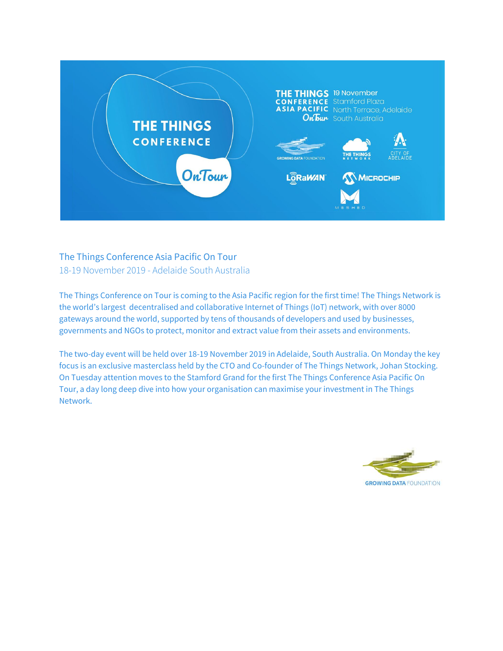

# The Things Conference Asia Pacific On Tour 18-19 November 2019 - Adelaide South Australia

The Things Conference on Tour is coming to the Asia Pacific region for the first time! The Things Network is the world's largest decentralised and collaborative Internet of Things (IoT) network, with over 8000 gateways around the world, supported by tens of thousands of developers and used by businesses, governments and NGOs to protect, monitor and extract value from their assets and environments.

The two-day event will be held over 18-19 November 2019 in Adelaide, South Australia. On Monday the key focus is an exclusive masterclass held by the CTO and Co-founder of The Things Network, Johan Stocking. On Tuesday attention moves to the Stamford Grand for the first The Things Conference Asia Pacific On Tour, a day long deep dive into how your organisation can maximise your investment in The Things Network.

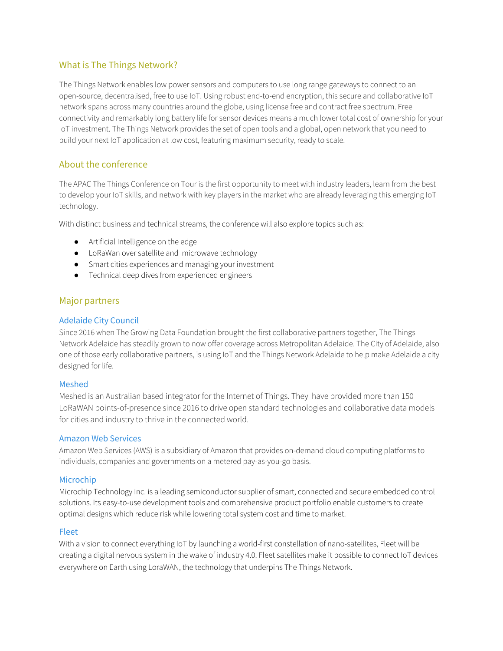# What is The Things Network?

The Things Network enables low power sensors and computers to use long range gateways to connect to an open-source, decentralised, free to use IoT. Using robust end-to-end encryption, this secure and collaborative IoT network spans across many countries around the globe, using license free and contract free spectrum. Free connectivity and remarkably long battery life for sensor devices means a much lower total cost of ownership for your IoT investment. The Things Network provides the set of open tools and a global, open network that you need to build your next IoT application at low cost, featuring maximum security, ready to scale.

# About the conference

The APAC The Things Conference on Tour is the first opportunity to meet with industry leaders, learn from the best to develop your IoT skills, and network with key players in the market who are already leveraging this emerging IoT technology.

With distinct business and technical streams, the conference will also explore topics such as:

- Artificial Intelligence on the edge
- LoRaWan over satellite and microwave technology
- Smart cities experiences and managing your investment
- Technical deep dives from experienced engineers

## Major partners

## Adelaide City Council

Since 2016 when The Growing Data Foundation brought the first collaborative partners together, The Things Network Adelaide has steadily grown to now offer coverage across Metropolitan Adelaide. The City of Adelaide, also one of those early collaborative partners, is using IoT and the Things Network Adelaide to help make Adelaide a city designed for life.

### Meshed

Meshed is an Australian based integrator for the Internet of Things. They have provided more than 150 LoRaWAN points-of-presence since 2016 to drive open standard technologies and collaborative data models for cities and industry to thrive in the connected world.

### Amazon Web Services

Amazon Web Services (AWS) is a subsidiary of Amazon that provides on-demand cloud computing platforms to individuals, companies and governments on a metered pay-as-you-go basis.

### Microchip

Microchip Technology Inc. is a leading semiconductor supplier of smart, connected and secure embedded control solutions. Its easy-to-use development tools and comprehensive product portfolio enable customers to create optimal designs which reduce risk while lowering total system cost and time to market.

### Fleet

With a vision to connect everything IoT by launching a world-first constellation of nano-satellites, Fleet will be creating a digital nervous system in the wake of industry 4.0. Fleet satellites make it possible to connect IoT devices everywhere on Earth using LoraWAN, the technology that underpins The Things Network.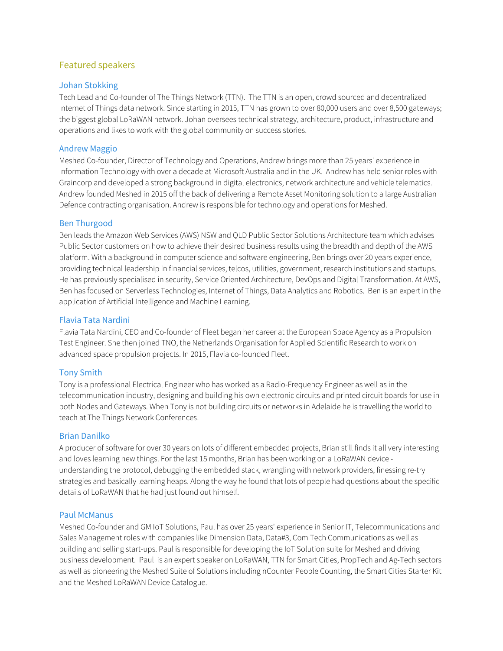# Featured speakers

## Johan Stokking

Tech Lead and Co-founder of The Things Network (TTN). The TTN is an open, crowd sourced and decentralized Internet of Things data network. Since starting in 2015, TTN has grown to over 80,000 users and over 8,500 gateways; the biggest global LoRaWAN network. Johan oversees technical strategy, architecture, product, infrastructure and operations and likes to work with the global community on success stories.

## Andrew Maggio

Meshed Co-founder, Director of Technology and Operations, Andrew brings more than 25 years' experience in Information Technology with over a decade at Microsoft Australia and in the UK. Andrew has held senior roles with Graincorp and developed a strong background in digital electronics, network architecture and vehicle telematics. Andrew founded Meshed in 2015 off the back of delivering a Remote Asset Monitoring solution to a large Australian Defence contracting organisation. Andrew is responsible for technology and operations for Meshed.

## Ben Thurgood

Ben leads the Amazon Web Services (AWS) NSW and QLD Public Sector Solutions Architecture team which advises Public Sector customers on how to achieve their desired business results using the breadth and depth of the AWS platform. With a background in computer science and software engineering, Ben brings over 20 years experience, providing technical leadership in financial services, telcos, utilities, government, research institutions and startups. He has previously specialised in security, Service Oriented Architecture, DevOps and Digital Transformation. At AWS, Ben has focused on Serverless Technologies, Internet of Things, Data Analytics and Robotics. Ben is an expert in the application of Artificial Intelligence and Machine Learning.

### Flavia Tata Nardini

Flavia Tata Nardini, CEO and Co-founder of Fleet began her career at the European Space Agency as a Propulsion Test Engineer. She then joined TNO, the Netherlands Organisation for Applied Scientific Research to work on advanced space propulsion projects. In 2015, Flavia co-founded Fleet.

## Tony Smith

Tony is a professional Electrical Engineer who has worked as a Radio-Frequency Engineer as well as in the telecommunication industry, designing and building his own electronic circuits and printed circuit boards for use in both Nodes and Gateways. When Tony is not building circuits or networks in Adelaide he is travelling the world to teach at The Things Network Conferences!

### Brian Danilko

A producer of software for over 30 years on lots of different embedded projects, Brian still finds it all very interesting and loves learning new things. For the last 15 months, Brian has been working on a LoRaWAN device understanding the protocol, debugging the embedded stack, wrangling with network providers, finessing re-try strategies and basically learning heaps. Along the way he found that lots of people had questions about the specific details of LoRaWAN that he had just found out himself.

### Paul McManus

Meshed Co-founder and GM IoT Solutions, Paul has over 25 years' experience in Senior IT, Telecommunications and Sales Management roles with companies like Dimension Data, Data#3, Com Tech Communications as well as building and selling start-ups. Paul is responsible for developing the IoT Solution suite for Meshed and driving business development. Paul is an expert speaker on LoRaWAN, TTN for Smart Cities, PropTech and Ag-Tech sectors as well as pioneering the Meshed Suite of Solutions including nCounter People Counting, the Smart Cities Starter Kit and the Meshed LoRaWAN Device Catalogue.